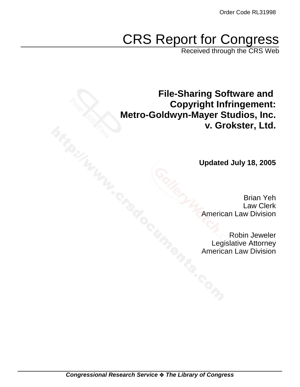# CRS Report for Congress

Received through the CRS Web

**File-Sharing Software and Copyright Infringement: Metro-Goldwyn-Mayer Studios, Inc. v. Grokster, Ltd.**

**Updated July 18, 2005**

Brian Yeh Law Clerk American Law Division

Robin Jeweler Legislative Attorney American Law Division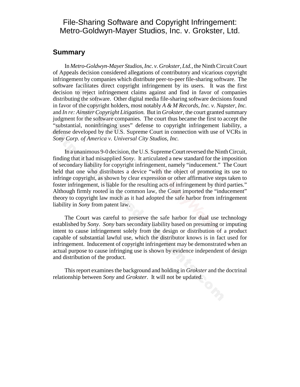#### File-Sharing Software and Copyright Infringement: Metro-Goldwyn-Mayer Studios, Inc. v. Grokster, Ltd.

#### **Summary**

In *Metro-Goldwyn-Mayer Studios, Inc. v. Grokster, Ltd.,* the Ninth Circuit Court of Appeals decision considered allegations of contributory and vicarious copyright infringement by companies which distribute peer-to-peer file-sharing software. The software facilitates direct copyright infringement by its users. It was the first decision to reject infringement claims against and find in favor of companies distributing the software. Other digital media file-sharing software decisions found in favor of the copyright holders, most notably *A & M Records, Inc. v. Napster, Inc.* and *In re: Aimster Copyright Litigation.* But in *Grokster*, the court granted summary judgment for the software companies. The court thus became the first to accept the "substantial, noninfringing uses" defense to copyright infringement liability, a defense developed by the U.S. Supreme Court in connection with use of VCRs in *Sony Corp. of America v. Universal City Studios, Inc.*

In a unanimous 9-0 decision, the U.S. Supreme Court reversed the Ninth Circuit, finding that it had misapplied *Sony*. It articulated a new standard for the imposition of secondary liability for copyright infringement, namely "inducement." The Court held that one who distributes a device "with the object of promoting its use to infringe copyright, as shown by clear expression or other affirmative steps taken to foster infringement, is liable for the resulting acts of infringement by third parties." Although firmly rooted in the common law, the Court imported the "inducement" theory to copyright law much as it had adopted the safe harbor from infringement liability in *Sony* from patent law.

The Court was careful to preserve the safe harbor for dual use technology established by *Sony*. *Sony* bars secondary liability based on presuming or imputing intent to cause infringement solely from the design or distribution of a product capable of substantial lawful use, which the distributor knows is in fact used for infringement. Inducement of copyright infringement may be demonstrated when an actual purpose to cause infringing use is shown by evidence independent of design and distribution of the product.

This report examines the background and holding in *Grokster* and the doctrinal relationship between *Sony* and *Grokster*. It will not be updated.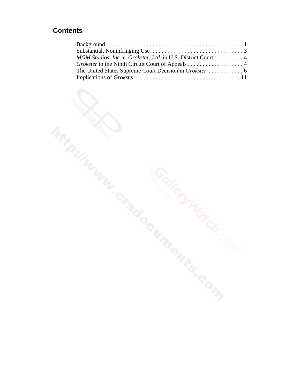### **Contents**

| MGM Studios, Inc. v. Grokster, Ltd. in U.S. District Court  4 |
|---------------------------------------------------------------|
| Grokster in the Ninth Circuit Court of Appeals 4              |
|                                                               |
|                                                               |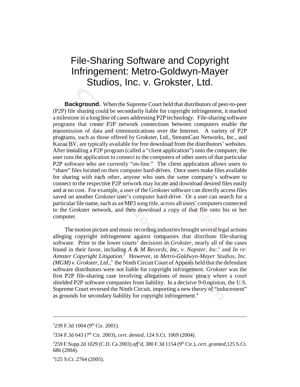## File-Sharing Software and Copyright Infringement: Metro-Goldwyn-Mayer Studios, Inc. v. Grokster, Ltd.

**Background.** When the Supreme Court held that distributors of peer-to-peer (P2P) file sharing could be secondarily liable for copyright infringement, it marked a milestone in a long line of cases addressing P2P technology. File-sharing software programs that create P2P network connections between computers enable the transmission of data and communications over the Internet. A variety of P2P programs, such as those offered by Grokster, Ltd., StreamCast Networks, Inc., and Kazaa BV, are typically available for free download from the distributors' websites. After installing a P2P program (called a "client application") onto the computer, the user runs the application to connect to the computers of other users of that particular P2P software who are currently "on-line." The client application allows users to "share" files located on their computer hard-drives. Once users make files available for sharing with each other, anyone who uses the same company's software to connect to the respective P2P network may locate and download desired files easily and at no cost. For example, a user of the Grokster software can directly access files saved on another Grokster user's computer hard-drive. Or a user can search for a particular file name, such as an MP3 song title, across all users' computers connected to the Grokster network, and then download a copy of that file onto his or her computer.

The motion picture and music recording industries brought several legal actions alleging copyright infringement against companies that distribute file-sharing software. Prior to the lower courts' decisions in *Grokster*, nearly all of the cases found in their favor, including A & M Records, Inc. v. Napster, Inc.<sup>1</sup> and In re: *Aimster Copyright Litigation*. 2 However, in *Metro-Goldwyn-Mayer Studios, Inc.*  $(MGM)$  v. Grokster, Ltd.,<sup>3</sup> the Ninth Circuit Court of Appeals held that the defendant software distributors were not liable for copyright infringement. *Grokster* was the first P2P file-sharing case involving allegations of music piracy where a court shielded P2P software companies from liability. In a decisive 9-0 opinion, the U.S. Supreme Court reversed the Ninth Circuit, importing a new theory of "inducement" as grounds for secondary liability for copyright infringement.<sup>4</sup>

 $1239$  F.3d 1004 (9<sup>th</sup> Cir. 2001).

<sup>&</sup>lt;sup>2</sup>334 F.3d 643 (7<sup>th</sup> Cir. 2003), *cert. denied*, 124 S.Ct. 1069 (2004).

<sup>&</sup>lt;sup>3</sup>259 F.Supp.2d 1029 (C.D. Ca 2003) aff'd, 380 F.3d 1154 (9<sup>th</sup> Cir.), *cert. granted*, 125 S.Ct. 686 (2004).

<sup>4</sup> 125 S.Ct. 2764 (2005).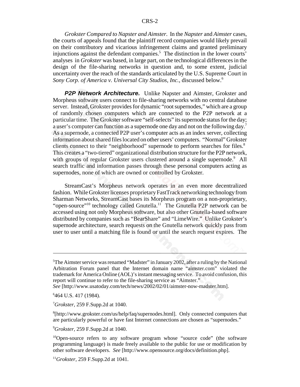*Grokster Compared to Napster and Aimster.* In the *Napster* and *Aimster* cases, the courts of appeals found that the plaintiff record companies would likely prevail on their contributory and vicarious infringement claims and granted preliminary injunctions against the defendant companies.<sup>5</sup> The distinction in the lower courts' analyses in *Grokster* was based, in large part, on the technological differences in the design of the file-sharing networks in question and, to some extent, judicial uncertainty over the reach of the standards articulated by the U.S. Supreme Court in *Sony Corp. of America v. Universal City Studios, Inc.*, discussed below.6

**P2P Network Architecture.** Unlike Napster and Aimster, Grokster and Morpheus software users connect to file-sharing networks with no central database server. Instead, Grokster provides for dynamic "root supernodes," which are a group of randomly chosen computers which are connected to the P2P network at a particular time. The Grokster software "self-selects" its supernode status for the day; a user's computer can function as a supernode one day and not on the following day.7 As a supernode, a connected P2P user's computer acts as an index server, collecting information about shared files located on other users' computers. "Normal" Grokster clients connect to their "neighborhood" supernode to perform searches for files.<sup>8</sup> This creates a "two-tiered" organizational distribution structure for the P2P network, with groups of regular Grokster users clustered around a single supernode.<sup>9</sup> All search traffic and information passes through these personal computers acting as supernodes, none of which are owned or controlled by Grokster.

StreamCast's Morpheus network operates in an even more decentralized fashion. While Grokster licenses proprietary FastTrack networking technology from Sharman Networks, StreamCast bases its Morpheus program on a non-proprietary, "open-source"<sup>10</sup> technology called Gnutella.<sup>11</sup> The Gnutella P2P network can be accessed using not only Morpheus software, but also other Gnutella-based software distributed by companies such as "BearShare" and "LimeWire." Unlike Grokster's supernode architecture, search requests on the Gnutella network quickly pass from user to user until a matching file is found or until the search request expires. The

7 *Grokster,* 259 F.Supp.2d at 1040.

<sup>&</sup>lt;sup>5</sup>The Aimster service was renamed "Madster" in January 2002, after a ruling by the National Arbitration Forum panel that the Internet domain name "aimster.com" violated the trademark for America Online (AOL)'s instant messaging service. To avoid confusion, this report will continue to refer to the file-sharing service as "Aimster."

*See* [http://www.usatoday.com/tech/news/2002/02/01/aimster-now-madster.htm].

<sup>6</sup> 464 U.S. 417 (1984).

<sup>8</sup> [http://www.grokster.com/us/help/faq/supernodes.html]. Only connected computers that are particularly powerful or have fast Internet connections are chosen as "supernodes."

<sup>9</sup> *Grokster,* 259 F.Supp.2d at 1040.

<sup>10</sup>Open-source refers to any software program whose "source code" (the software programming language) is made freely available to the public for use or modification by other software developers. *See* [http://www.opensource.org/docs/definition.php].

<sup>11</sup>*Grokster,* 259 F.Supp.2d at 1041.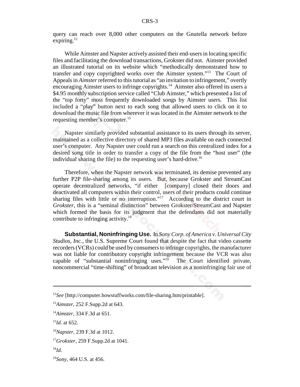query can reach over 8,000 other computers on the Gnutella network before expiring. $^{12}$ 

While Aimster and Napster actively assisted their end-users in locating specific files and facilitating the download transactions, Grokster did not. Aimster provided an illustrated tutorial on its website which "methodically demonstrated how to transfer and copy copyrighted works over the Aimster system."13 The Court of Appeals in *Aimster* referred to this tutorial as "an invitation to infringement," overtly encouraging Aimster users to infringe copyrights.<sup>14</sup> Aimster also offered its users a \$4.95 monthly subscription service called "Club Aimster," which presented a list of the "top forty" most frequently downloaded songs by Aimster users. This list included a "play" button next to each song that allowed users to click on it to download the music file from wherever it was located in the Aimster network to the requesting member's computer.15

Napster similarly provided substantial assistance to its users through its server, maintained as a collective directory of shared MP3 files available on each connected user's computer. Any Napster user could run a search on this centralized index for a desired song title in order to transfer a copy of the file from the "host user" (the individual sharing the file) to the requesting user's hard-drive.<sup>16</sup>

Therefore, when the Napster network was terminated, its demise prevented any further P2P file-sharing among its users. But, because Grokster and StreamCast operate decentralized networks, "if either [company] closed their doors and deactivated all computers within their control, users of their products could continue sharing files with little or no interruption."<sup>17</sup> According to the district court in *Grokster*, this is a "seminal distinction" between Grokster/StreamCast and Napster which formed the basis for its judgment that the defendants did not materially contribute to infringing activity.<sup>18</sup>

**Substantial, Noninfringing Use.** In *Sony Corp. of America v. Universal City Studios, Inc.*, the U.S. Supreme Court found that despite the fact that video cassette recorders (VCRs) could be used by consumers to infringe copyrights, the manufacturer was not liable for contributory copyright infringement because the VCR was also capable of "substantial noninfringing uses." $19$  The Court identified private, noncommercial "time-shifting" of broadcast television as a noninfringing fair use of

<sup>12</sup>*See* [http://computer.howstuffworks.com/file-sharing.htm/printable].

<sup>13</sup>*Aimster,* 252 F.Supp.2d at 643.

<sup>14</sup>*Aimster*, 334 F.3d at 651.

<sup>15</sup>*Id.* at 652.

<sup>16</sup>*Napster,* 239 F.3d at 1012.

<sup>17</sup>*Grokster,* 259 F.Supp.2d at 1041.

<sup>18</sup>*Id.*

<sup>19</sup>*Sony,* 464 U.S. at 456.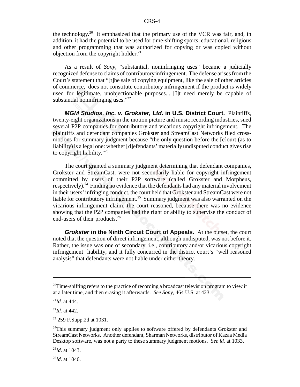the technology.<sup>20</sup> It emphasized that the primary use of the VCR was fair, and, in addition, it had the potential to be used for time-shifting sports, educational, religious and other programming that was authorized for copying or was copied without objection from the copyright holder.<sup>21</sup>

As a result of *Sony*, "substantial, noninfringing uses" became a judicially recognized defense to claims of contributory infringement. The defense arises from the Court's statement that "[t]he sale of copying equipment, like the sale of other articles of commerce, does not constitute contributory infringement if the product is widely used for legitimate, unobjectionable purposes... [I]t need merely be capable of substantial noninfringing uses."<sup>22</sup>

*MGM Studios, Inc. v. Grokster, Ltd.* **in U.S. District Court.** Plaintiffs, twenty-eight organizations in the motion picture and music recording industries, sued several P2P companies for contributory and vicarious copyright infringement. The plaintiffs and defendant companies Grokster and StreamCast Networks filed crossmotions for summary judgment because "the only question before the [c]ourt (as to liability) is a legal one: whether [d]efendants' materially undisputed conduct gives rise to copyright liability."23

The court granted a summary judgment determining that defendant companies, Grokster and StreamCast, were not secondarily liable for copyright infringement committed by users of their P2P software (called Grokster and Morpheus, respectively).<sup>24</sup> Finding no evidence that the defendants had any material involvement in their users' infringing conduct, the court held that Grokster and StreamCast were not liable for contributory infringement.25 Summary judgment was also warranted on the vicarious infringement claim, the court reasoned, because there was no evidence showing that the P2P companies had the right or ability to supervise the conduct of end-users of their products.<sup>26</sup>

*Grokster* **in the Ninth Circuit Court of Appeals.** At the outset, the court noted that the question of direct infringement, although undisputed, was not before it. Rather, the issue was one of secondary, i.e., contributory and/or vicarious copyright infringement liability, and it fully concurred in the district court's "well reasoned analysis" that defendants were not liable under either theory.

 $20$ Time-shifting refers to the practice of recording a broadcast television program to view it at a later time, and then erasing it afterwards. *See Sony,* 464 U.S. at 423.

<sup>21</sup>*Id.* at 444.

<sup>22</sup>*Id.* at 442.

<sup>23 259</sup> F.Supp.2d at 1031.

 $24$ This summary judgment only applies to software offered by defendants Grokster and StreamCast Networks. Another defendant, Sharman Networks, distributor of Kazaa Media Desktop software, was not a party to these summary judgment motions. *See id.* at 1033.

<sup>25</sup>*Id.* at 1043.

 $^{26}$ *Id.* at 1046.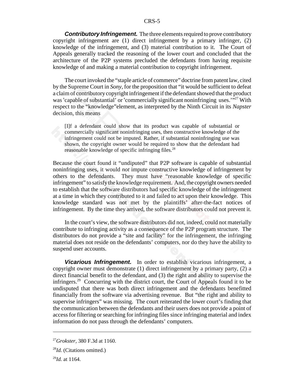*Contributory Infringement.* The three elements required to prove contributory copyright infringement are (1) direct infringement by a primary infringer, (2) knowledge of the infringement, and (3) material contribution to it. The Court of Appeals generally tracked the reasoning of the lower court and concluded that the architecture of the P2P systems precluded the defendants from having requisite knowledge of and making a material contribution to copyright infringement.

The court invoked the "staple article of commerce" doctrine from patent law, cited by the Supreme Court in *Sony,* for the proposition that "it would be sufficient to defeat a claim of contributory copyright infringement if the defendant showed that the product was 'capable of substantial' or 'commercially significant noninfringing uses.'"<sup>27</sup> With respect to the "knowledge"element, as interpreted by the Ninth Circuit in its *Napster* decision, this means

[I]f a defendant could show that its product was capable of substantial or commercially significant noninfringing uses, then constructive knowledge of the infringement could not be imputed. Rather, if substantial noninfringing use was shown, the copyright owner would be required to show that the defendant had reasonable knowledge of specific infringing files.<sup>28</sup>

Because the court found it "undiputed" that P2P software is capable of substantial noninfringing uses, it would *not* impute constructive knowledge of infringement by others to the defendants. They must have "reasonable knowledge of specific infringement" to satisfy the knowledge requirement. And, the copyright owners needed to establish that the software distributors had specific knowledge of the infringement at a time in which they contributed to it and failed to act upon their knowledge. This knowledge standard was not met by the plaintiffs' after-the-fact notices of infringement. By the time they arrived, the software distributors could not prevent it.

In the court's view, the software distributors did not, indeed, could not materially contribute to infringing activity as a consequence of the P2P program structure. The distributors do not provide a "site and facility" for the infringement, the infringing material does not reside on the defendants' computers, nor do they have the ability to suspend user accounts.

*Vicarious Infringement.* In order to establish vicarious infringement, a copyright owner must demonstrate (1) direct infringement by a primary party, (2) a direct financial benefit to the defendant, and (3) the right and ability to supervise the infringers.<sup>29</sup> Concurring with the district court, the Court of Appeals found it to be undisputed that there was both direct infringement and the defendants benefitted financially from the software via advertising revenue. But "the right and ability to supervise infringers" was missing. The court reiterated the lower court's finding that the communication between the defendants and their users does not provide a point of access for filtering or searching for infringing files since infringing material and index information do not pass through the defendants' computers.

<sup>27</sup>*Grokster,* 380 F.3d at 1160.

<sup>28</sup>*Id.* (Citations omitted.)

<sup>29</sup>*Id.* at 1164.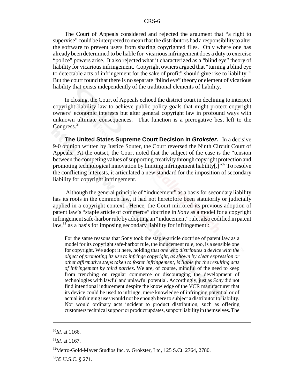The Court of Appeals considered and rejected the argument that "a right to supervise" could be interpreted to mean that the distributors had a responsibility to alter the software to prevent users from sharing copyrighted files. Only where one has already been determined to be liable for vicarious infringement does a duty to exercise "police" powers arise. It also rejected what it characterized as a "blind eye" theory of liability for vicarious infringement. Copyright owners argued that "turning a blind eye to detectable acts of infringement for the sake of profit" should give rise to liability.<sup>30</sup> But the court found that there is no separate "blind eye" theory or element of vicarious liability that exists independently of the traditional elements of liability.

In closing, the Court of Appeals echoed the district court in declining to interpret copyright liability law to achieve public policy goals that might protect copyright owners' economic interests but alter general copyright law in profound ways with unknown ultimate consequences. That function is a prerogative best left to the Congress.<sup>31</sup>

**The United States Supreme Court Decision in** *Grokster***.** In a decisive 9-0 opinion written by Justice Souter, the Court reversed the Ninth Circuit Court of Appeals. At the outset, the Court noted that the subject of the case is the "tension between the competing values of supporting creativity through copyright protection and promoting technological innovation by limiting infringement liability[.]"32 To resolve the conflicting interests, it articulated a new standard for the imposition of secondary liability for copyright infringement.

 Although the general principle of "inducement" as a basis for secondary liability has its roots in the common law, it had not heretofore been statutorily or judicially applied in a copyright context. Hence, the Court mirrored its previous adoption of patent law's "staple article of commerce" doctrine in *Sony* as a model for a copyright infringement safe-harbor rule by adopting an "inducement" rule, also codified in patent law,<sup>33</sup> as a basis for imposing secondary liability for infringement.:

For the same reasons that Sony took the staple-article doctrine of patent law as a model for its copyright safe-harbor rule, the inducement rule, too, is a sensible one for copyright. We adopt it here, holding that *one who distributes a device with the object of promoting its use to infringe copyright, as shown by clear expression or other affirmative steps taken to foster infringement, is liable for the resulting acts of infringement by third parties*. We are, of course, mindful of the need to keep from trenching on regular commerce or discouraging the development of technologies with lawful and unlawful potential. Accordingly, just as *Sony* did not find intentional inducement despite the knowledge of the VCR manufacturer that its device could be used to infringe, mere knowledge of infringing potential or of actual infringing uses would not be enough here to subject a distributor to liability. Nor would ordinary acts incident to product distribution, such as offering customers technical support or product updates, support liability in themselves. The

 $^{30}$ *Id.* at 1166.

<sup>31</sup>*Id.* at 1167.

<sup>&</sup>lt;sup>32</sup>Metro-Gold-Mayer Studios Inc. v. Grokster, Ltd, 125 S.Ct. 2764, 2780.

<sup>&</sup>lt;sup>33</sup>35 U.S.C. § 271.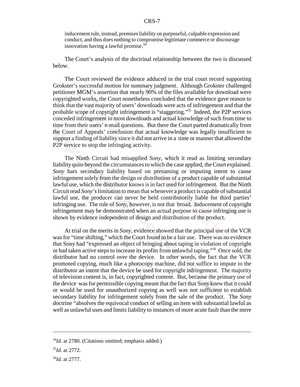inducement rule, instead, premises liability on purposeful, culpable expression and conduct, and thus does nothing to compromise legitimate commerce or discourage innovation having a lawful promise. 34

The Court's analysis of the doctrinal relationship between the two is discussed below.

The Court reviewed the evidence adduced in the trial court record supporting Grokster's successful motion for summary judgment. Although Grokster challenged petitioner MGM's assertion that nearly 90% of the files available for download were copyrighted works, the Court nonetheless concluded that the evidence gave reason to think that the vast majority of users' downloads were acts of infringement and that the probable scope of copyright infringement is "staggering."35 Indeed, the P2P services conceded infringement in most downloads and actual knowledge of such from time to time from their users' e-mail questions. But there the Court parted dramatically from the Court of Appeals' conclusion that actual knowledge was legally insufficient to support a finding of liability since it did not arrive in a time or manner that allowed the P2P service to stop the infringing activity.

The Ninth Circuit had misapplied *Sony*, which it read as limiting secondary liability quite beyond the circumstances to which the case applied, the Court explained. *Sony* bars secondary liability based on presuming or imputing intent to cause infringement solely from the design or distribution of a product capable of substantial lawful use, which the distributor knows is in fact used for infringement. But the Ninth Circuit read *Sony's* limitation to mean that whenever a product is capable of substantial lawful use, the producer can never be held contributorily liable for third parties' infringing use. The rule of *Sony*, however, is not that broad. Inducement of copyright infringement may be demonstrated when an actual purpose to cause infringing use is shown by evidence independent of design and distribution of the product.

At trial on the merits in *Sony,* evidence showed that the principal use of the VCR was for "time shifting," which the Court found to be a fair use. There was no evidence that Sony had "expressed an object of bringing about taping in violation of copyright or had taken active steps to increase its profits from unlawful taping."36 Once sold, the distributor had no control over the device. In other words, the fact that the VCR promoted copying, much like a photocopy machine, did not suffice to impute to the distributor an intent that the device be used for copyright infringement. The majority of television content is, in fact, copyrighted content. But, because the primary use of the device was for permissible copying meant that the fact that Sony knew that it could or would be used for unauthorized copying as well was not sufficient to establish secondary liability for infringement solely from the sale of the product. The *Sony* doctrine "absolves the equivocal conduct of selling an item with substantial lawful as well as unlawful uses and limits liability to instances of more acute fault than the mere

<sup>&</sup>lt;sup>34</sup>*Id.* at 2780. (Citations omitted; emphasis added.)

<sup>35</sup>*Id.* at 2772.

<sup>36</sup>*Id.* at 2777.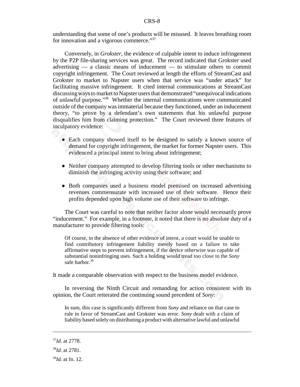understanding that some of one's products will be misused. It leaves breathing room for innovation and a vigorous commerce."37

Conversely, in *Grokster*, the evidence of culpable intent to induce infringement by the P2P file-sharing services was great. The record indicated that Grokster used advertising — a classic means of inducement — to stimulate others to commit copyright infringement. The Court reviewed at length the efforts of StreamCast and Grokster to market to Napster users when that service was "under attack" for facilitating massive infringement. It cited internal communications at StreamCast discussing ways to market to Napster users that demonstrated "unequivocal indications of unlawful purpose."38 Whether the internal communications were communicated outside of the company was immaterial because they functioned, under an inducement theory, "to prove by a defendant's own statements that his unlawful purpose disqualifies him from claiming protection." The Court reviewed three features of inculpatory evidence:

- Each company showed itself to be designed to satisfy a known source of demand for copyright infringement, the market for former Napster users. This evidenced a principal intent to bring about infringement;
- Neither company attempted to develop filtering tools or other mechanisms to diminish the infringing activity using their software; and
- Both companies used a business model premised on increased advertising revenues commensurate with increased use of their software. Hence their profits depended upon high volume use of their software to infringe.

The Court was careful to note that neither factor alone would necessarily prove "inducement." For example, in a footnote, it noted that there is no absolute duty of a manufacturer to provide filtering tools:

Of course, in the absence of other evidence of intent, a court would be unable to find contributory infringement liability merely based on a failure to take affirmative steps to prevent infringement, if the device otherwise was capable of substantial noninfringing uses. Such a holding would tread too close to the *Sony* safe harbor.<sup>39</sup>

It made a comparable observation with respect to the business model evidence.

In reversing the Ninth Circuit and remanding for action consistent with its opinion, the Court reiterated the continuing sound precedent of *Sony*:

In sum, this case is significantly different from *Sony* and reliance on that case to rule in favor of StreamCast and Grokster was error. *Sony* dealt with a claim of liability based solely on distributing a product with alternative lawful and unlawful

<sup>37</sup>*Id.* at 2778.

<sup>38</sup>*Id.* at 2781.

<sup>39</sup>*Id.* at fn. 12.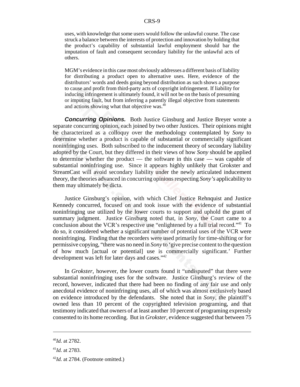uses, with knowledge that some users would follow the unlawful course. The case struck a balance between the interests of protection and innovation by holding that the product's capability of substantial lawful employment should bar the imputation of fault and consequent secondary liability for the unlawful acts of others.

MGM's evidence in this case most obviously addresses a different basis of liability for distributing a product open to alternative uses. Here, evidence of the distributors' words and deeds going beyond distribution as such shows a purpose to cause and profit from third-party acts of copyright infringement. If liability for inducing infringement is ultimately found, it will not be on the basis of presuming or imputing fault, but from inferring a patently illegal objective from statements and actions showing what that objective was.<sup>40</sup>

*Concurring Opinions.* Both Justice Ginsburg and Justice Breyer wrote a separate concurring opinion, each joined by two other Justices. Their opinions might be characterized as a colloquy over the methodology contemplated by *Sony* to determine whether a product is capable of substantial or commercially significant noninfringing uses. Both subscribed to the inducement theory of secondary liability adopted by the Court, but they differed in their views of how *Sony* should be applied to determine whether the product — the software in this case — was capable of substantial noninfringing use. Since it appears highly unlikely that Grokster and StreamCast will avoid secondary liability under the newly articulated inducement theory, the theories advanced in concurring opinions respecting *Sony's* applicability to them may ultimately be dicta.

Justice Ginsburg's opinion, with which Chief Justice Rehnquist and Justice Kennedy concurred, focused on and took issue with the evidence of substantial noninfringing use utilized by the lower courts to support and uphold the grant of summary judgment. Justice Ginsburg noted that, in *Sony,* the Court came to a conclusion about the VCR's respective use "enlightened by a full trial record."<sup>41</sup> To do so, it considered whether a significant number of potential uses of the VCR were noninfringing. Finding that the recorders were used primarily for time-shifting or for permissive copying, "there was no need in *Sony* to 'give precise content to the question of how much [actual or potential] use is commercially significant.' Further development was left for later days and cases."<sup>42</sup>

In *Grokster*, however, the lower courts found it "undisputed" that there were substantial noninfringing uses for the software. Justice Ginsburg's review of the record, however, indicated that there had been no finding of any fair use and only anecdotal evidence of noninfringing uses, all of which was almost exclusively based on evidence introduced by the defendants. She noted that in *Sony*, the plaintiff's owned less than 10 percent of the copyrighted television programing, and that testimony indicated that owners of at least another 10 percent of programing expressly consented to its home recording. But in *Grokster*, evidence suggested that between 75

<sup>40</sup>*Id.* at 2782.

<sup>41</sup>*Id.* at 2783.

<sup>&</sup>lt;sup>42</sup>*Id.* at 2784. (Footnote omitted.)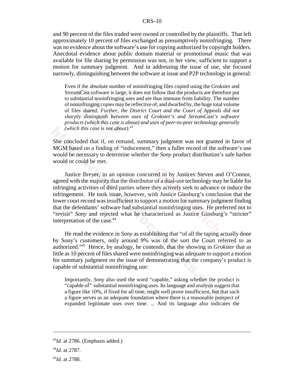and 90 percent of the files traded were owned or controlled by the plaintiffs. That left approximately 10 percent of files exchanged as presumptively noninfringing. There was no evidence about the software's use for copying authorized by copyright holders. Anecdotal evidence about public domain material or promotional music that was available for file sharing by permission was not, in her view, sufficient to support a motion for summary judgment. And in addressing the issue of use, she focused narrowly, distinguishing between the software at issue and P2P technology in general:

Even if the absolute number of noninfringing files copied using the Grokster and StreamCast software is large, it does not follow that the products are therefore put to substantial noninfringing uses and are thus immune from liability. The number of noninfringing copies may be reflective of, and dwarfed by, the huge total volume of files shared. *Further, the District Court and the Court of Appeals did not sharply distinguish between uses of Grokster's and StreamCast's software products (which this case is about) and uses of peer-to-peer technology generally (which this case is not about).*<sup>43</sup>

She concluded that if, on remand, summary judgment was not granted in favor of MGM based on a finding of "inducement," then a fuller record of the software's use would be necessary to determine whether the *Sony* product distribution's safe harbor would or could be met.

Justice Breyer, in an opinion concurred in by Justices Steven and O'Connor, agreed with the majority that the distributor of a dual-use technology may be liable for infringing activities of third parties where they actively seek to advance or induce the infringement. He took issue, however, with Justice Ginsburg's conclusion that the lower court record was insufficient to support a motion for summary judgment finding that the defendants' software had substantial noninfringing uses. He preferred not to "revisit" *Sony* and rejected what he characterized as Justice Ginsburg's "stricter" interpretation of the case.<sup>44</sup>

He read the evidence in *Sony* as establishing that "of all the taping actually done by Sony's customers, only around 9% was of the sort the Court referred to as authorized."45 Hence, by analogy, he contends, that the showing in *Grokster* that as little as 10 percent of files shared were noninfringing was adequate to support a motion for summary judgment on the issue of demonstrating that the company's product is capable of substantial noninfringing use:

Importantly, *Sony* also used the word "capable," asking whether the product is "capable of" substantial noninfringing uses. Its language and analysis suggest that a figure like 10%, if fixed for all time, might well prove insufficient, but that such a figure serves as an adequate foundation where there is a reasonable prospect of expanded legitimate uses over time. ... And its language also indicates the

<sup>43</sup>*Id.* at 2786. (Emphasis added.)

<sup>44</sup>*Id.* at 2787.

<sup>45</sup>*Id.* at 2788.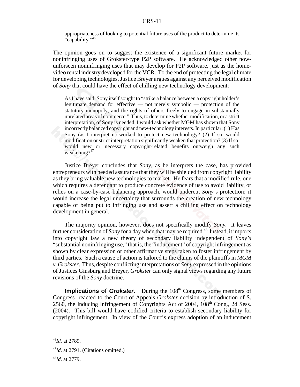appropriateness of looking to potential future uses of the product to determine its "capability."46

The opinion goes on to suggest the existence of a significant future market for noninfringing uses of Grokster-type P2P software. He acknowledged other nowunforseen noninfringing uses that may develop for P2P software, just as the homevideo rental industry developed for the VCR. To the end of protecting the legal climate for developing technologies, Justice Breyer argues against any perceived modification of *Sony* that could have the effect of chilling new technology development:

As I have said, Sony itself sought to "strike a balance between a copyright holder's legitimate demand for effective — not merely symbolic — protection of the statutory monopoly, and the rights of others freely to engage in substantially unrelated areas of commerce." Thus, to determine whether modification, or a strict interpretation, of Sony is needed, I would ask whether MGM has shown that Sony incorrectly balanced copyright and new-technology interests. In particular: (1) Has Sony (as I interpret it) worked to protect new technology? (2) If so, would modification or strict interpretation significantly weaken that protection? (3) If so, would new or necessary copyright-related benefits outweigh any such weakening? $47$ 

Justice Breyer concludes that *Sony,* as he interprets the case, has provided entrepreneurs with needed assurance that they will be shielded from copyright liability as they bring valuable new technologies to market. He fears that a modified rule, one which requires a defendant to produce concrete evidence of use to avoid liability, or relies on a case-by-case balancing approach, would undercut *Sony'*s protection; it would increase the legal uncertainty that surrounds the creation of new technology capable of being put to infringing use and assert a chilling effect on technology development in general.

The majority opinion, however, does not specifically modify *Sony.* It leaves further consideration of *Sony* for a day when that may be required.<sup>48</sup> Instead, it imports into copyright law a new theory of secondary liability independent of *Sony's* "substantial noninfringing use," that is, the "inducement" of copyright infringement as shown by clear expression or other affirmative steps taken to foster infringement by third parties. Such a cause of action is tailored to the claims of the plaintiffs in *MGM v. Grokster*. Thus, despite conflicting interpretations of *Sony* expressed in the opinions of Justices Ginsburg and Breyer, *Grokster* can only signal views regarding any future revisions of the *Sony* doctrine.

**Implications of** *Grokster*. During the 108<sup>th</sup> Congress, some members of Congress reacted to the Court of Appeals *Grokster* decision by introduction of S. 2560, the Inducing Infringement of Copyrights Act of 2004, 108<sup>th</sup> Cong., 2d Sess. (2004). This bill would have codified criteria to establish secondary liability for copyright infringement. In view of the Court's express adoption of an inducement

<sup>46</sup>*Id.* at 2789.

<sup>&</sup>lt;sup>47</sup>*Id.* at 2791. (Citations omitted.)

<sup>48</sup>*Id.* at 2779.